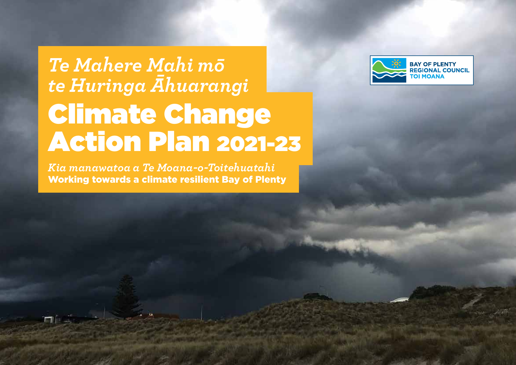# Climate Change Action Plan 2021-23 *Te Mahere Mahi mō te Huringa Āhuarangi*

*Kia manawatoa a Te Moana-o-Toitehuatahi*  Working towards a climate resilient Bay of Plenty

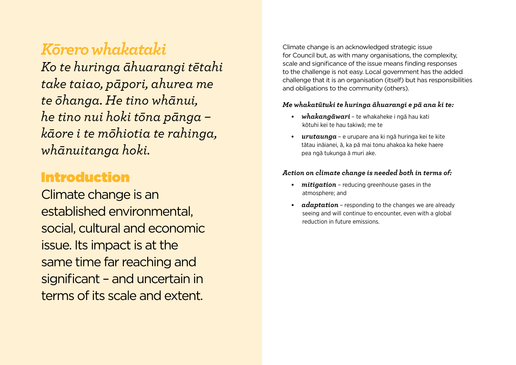### *Kōrero whakataki*

*Ko te huringa āhuarangi tētahi take taiao, pāpori, ahurea me te ōhanga. He tino whānui, he tino nui hoki tōna pānga – kāore i te mōhiotia te rahinga, whānuitanga hoki.*

### Introduction

Climate change is an established environmental, social, cultural and economic issue. Its impact is at the same time far reaching and significant – and uncertain in terms of its scale and extent.

Climate change is an acknowledged strategic issue for Council but, as with many organisations, the complexity, scale and significance of the issue means finding responses to the challenge is not easy. Local government has the added challenge that it is an organisation (itself) but has responsibilities and obligations to the community (others).

#### *Me whakatūtuki te huringa āhuarangi e pā ana ki te:*

- *• whakangāwari* te whakaheke i ngā hau kati kōtuhi kei te hau takiwā; me te
- *• urutaunga* e urupare ana ki ngā huringa kei te kite tātau ināianei, ā, ka pā mai tonu ahakoa ka heke haere pea ngā tukunga ā muri ake.

#### *Action on climate change is needed both in terms of:*

- *• mitigation* reducing greenhouse gases in the atmosphere; and
- *• adaptation* responding to the changes we are already seeing and will continue to encounter, even with a global reduction in future emissions.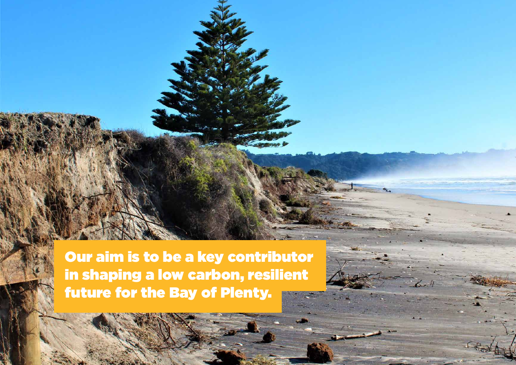Our aim is to be a key contributor in shaping a low carbon, resilient future for the Bay of Plenty.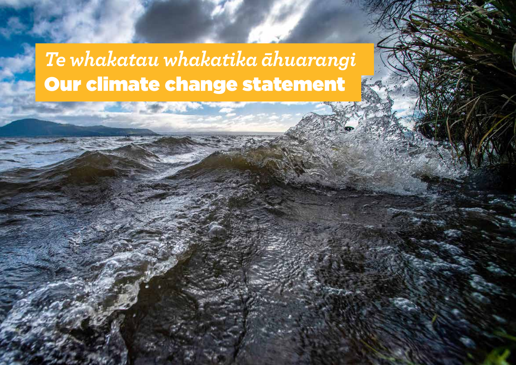# Our climate change statement *Te whakatau whakatika āhuarangi*

**AND SHEET AND ARE**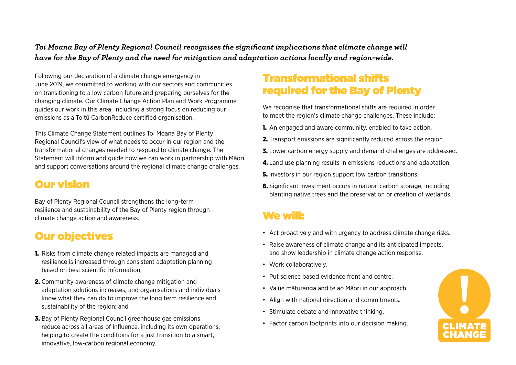#### *Toi Moana Bay of Plenty Regional Council recognises the significant implications that climate change will have for the Bay of Plenty and the need for mitigation and adaptation actions locally and region-wide.*

Following our declaration of a climate change emergency in June 2019, we committed to working with our sectors and communities on transitioning to a low carbon future and preparing ourselves for the changing climate. Our Climate Change Action Plan and Work Programme guides our work in this area, including a strong focus on reducing our emissions as a Toitū CarbonReduce certified organisation.

This Climate Change Statement outlines Toi Moana Bay of Plenty Regional Council's view of what needs to occur in our region and the transformational changes needed to respond to climate change. The Statement will inform and guide how we can work in partnership with Māori and support conversations around the regional climate change challenges.

### Our vision

Bay of Plenty Regional Council strengthens the long-term resilience and sustainability of the Bay of Plenty region through climate change action and awareness.

### Our objectives

- 1. Risks from climate change related impacts are managed and resilience is increased through consistent adaptation planning based on best scientific information;
- 2. Community awareness of climate change mitigation and adaptation solutions increases, and organisations and individuals know what they can do to improve the long term resilience and sustainability of the region; and
- 3. Bay of Plenty Regional Council greenhouse gas emissions reduce across all areas of influence, including its own operations, helping to create the conditions for a just transition to a smart, innovative, low-carbon regional economy.

### Transformational shifts required for the Bay of Plenty

We recognise that transformational shifts are required in order to meet the region's climate change challenges. These include:

- 1. An engaged and aware community, enabled to take action.
- **2.** Transport emissions are significantly reduced across the region.
- **3.** Lower carbon energy supply and demand challenges are addressed.
- 4. Land use planning results in emissions reductions and adaptation.
- **5.** Investors in our region support low carbon transitions.
- 6. Significant investment occurs in natural carbon storage, including planting native trees and the preservation or creation of wetlands.

### We will:

- Act proactively and with urgency to address climate change risks.
- Raise awareness of climate change and its anticipated impacts, and show leadership in climate change action response.
- Work collaboratively.
- Put science based evidence front and centre.
- Value māturanga and te ao Māori in our approach.
- Align with national direction and commitments.
- Stimulate debate and innovative thinking.
- Factor carbon footprints into our decision making.

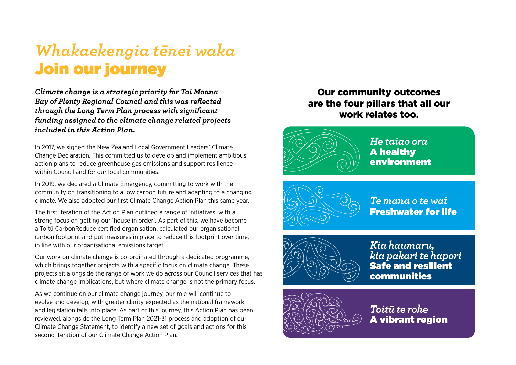## *Whakaekengia tēnei waka* Join our journey

*Climate change is a strategic priority for Toi Moana Bay of Plenty Regional Council and this was reflected through the Long Term Plan process with significant funding assigned to the climate change related projects included in this Action Plan.* 

In 2017, we signed the New Zealand Local Government Leaders' Climate Change Declaration. This committed us to develop and implement ambitious action plans to reduce greenhouse gas emissions and support resilience within Council and for our local communities.

In 2019, we declared a Climate Emergency, committing to work with the community on transitioning to a low carbon future and adapting to a changing climate. We also adopted our first Climate Change Action Plan this same year.

The first iteration of the Action Plan outlined a range of initiatives, with a strong focus on getting our 'house in order'. As part of this, we have become a Toitū CarbonReduce certified organisation, calculated our organisational carbon footprint and put measures in place to reduce this footprint over time, in line with our organisational emissions target.

Our work on climate change is co-ordinated through a dedicated programme, which brings together projects with a specific focus on climate change. These projects sit alongside the range of work we do across our Council services that has climate change implications, but where climate change is not the primary focus.

As we continue on our climate change journey, our role will continue to evolve and develop, with greater clarity expected as the national framework and legislation falls into place. As part of this journey, this Action Plan has been reviewed, alongside the Long Term Plan 2021-31 process and adoption of our Climate Change Statement, to identify a new set of goals and actions for this second iteration of our Climate Change Action Plan.

Our community outcomes are the four pillars that all our work relates too.





*Te mana o te wai* Freshwater for life



*Kia haumaru, kia pakari te hapori* Safe and resilient communities



*Toitū te rohe* A vibrant region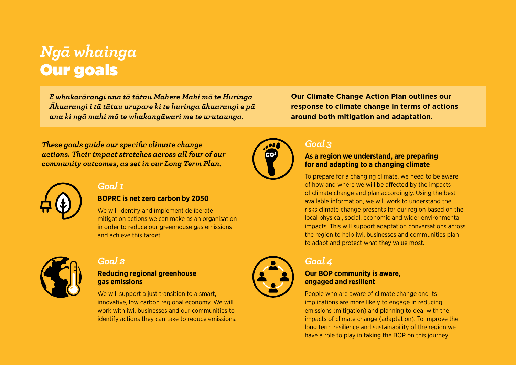## *Ngā whainga*  Our goals

*E whakarārangi ana tā tātau Mahere Mahi mō te Huringa Āhuarangi i tā tātau urupare ki te huringa āhuarangi e pā ana ki ngā mahi mō te whakangāwari me te urutaunga.*

*These goals guide our specific climate change actions. Their impact stretches across all four of our community outcomes, as set in our Long Term Plan.* 



#### *Goal 1*

#### **BOPRC is net zero carbon by 2050**

We will identify and implement deliberate mitigation actions we can make as an organisation in order to reduce our greenhouse gas emissions and achieve this target.



#### *Goal 2*

#### **Reducing regional greenhouse gas emissions**

We will support a just transition to a smart, innovative, low carbon regional economy. We will work with iwi, businesses and our communities to identify actions they can take to reduce emissions.



#### **Our BOP community is aware, engaged and resilient**

People who are aware of climate change and its implications are more likely to engage in reducing emissions (mitigation) and planning to deal with the impacts of climate change (adaptation). To improve the long term resilience and sustainability of the region we have a role to play in taking the BOP on this journey.

**Our Climate Change Action Plan outlines our response to climate change in terms of actions around both mitigation and adaptation.**



#### *Goal 3*

*Goal 4* 

#### **As a region we understand, are preparing for and adapting to a changing climate**

To prepare for a changing climate, we need to be aware of how and where we will be affected by the impacts of climate change and plan accordingly. Using the best available information, we will work to understand the risks climate change presents for our region based on the local physical, social, economic and wider environmental impacts. This will support adaptation conversations across the region to help iwi, businesses and communities plan to adapt and protect what they value most.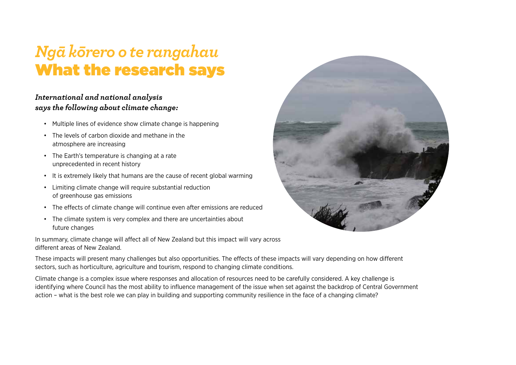## *Ngā kōrero o te rangahau* What the research says

#### *International and national analysis says the following about climate change:*

- Multiple lines of evidence show climate change is happening
- The levels of carbon dioxide and methane in the atmosphere are increasing
- The Earth's temperature is changing at a rate unprecedented in recent history
- It is extremely likely that humans are the cause of recent global warming
- Limiting climate change will require substantial reduction of greenhouse gas emissions
- The effects of climate change will continue even after emissions are reduced
- The climate system is very complex and there are uncertainties about future changes

In summary, climate change will affect all of New Zealand but this impact will vary across different areas of New Zealand.

These impacts will present many challenges but also opportunities. The effects of these impacts will vary depending on how different sectors, such as horticulture, agriculture and tourism, respond to changing climate conditions.

Climate change is a complex issue where responses and allocation of resources need to be carefully considered. A key challenge is identifying where Council has the most ability to influence management of the issue when set against the backdrop of Central Government action – what is the best role we can play in building and supporting community resilience in the face of a changing climate?

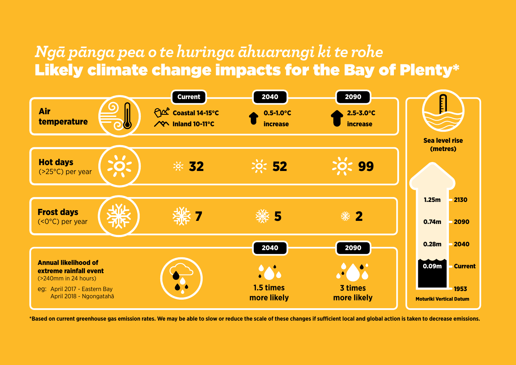### *Ngā pānga pea o te huringa āhuarangi ki te rohe* Likely climate change impacts for the Bay of Plenty\*



**\*Based on current greenhouse gas emission rates. We may be able to slow or reduce the scale of these changes if sufficient local and global action is taken to decrease emissions.**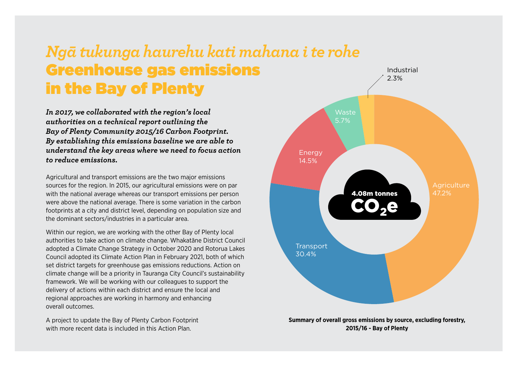### *Ngā tukunga haurehu kati mahana i te rohe*  Greenhouse gas emissions in the Bay of Plenty

*In 2017, we collaborated with the region's local authorities on a technical report outlining the Bay of Plenty Community 2015/16 Carbon Footprint. By establishing this emissions baseline we are able to understand the key areas where we need to focus action to reduce emissions.*

Agricultural and transport emissions are the two major emissions sources for the region. In 2015, our agricultural emissions were on par with the national average whereas our transport emissions per person were above the national average. There is some variation in the carbon footprints at a city and district level, depending on population size and the dominant sectors/industries in a particular area.

Within our region, we are working with the other Bay of Plenty local authorities to take action on climate change. Whakatāne District Council adopted a Climate Change Strategy in October 2020 and Rotorua Lakes Council adopted its Climate Action Plan in February 2021, both of which set district targets for greenhouse gas emissions reductions. Action on climate change will be a priority in Tauranga City Council's sustainability framework. We will be working with our colleagues to support the delivery of actions within each district and ensure the local and regional approaches are working in harmony and enhancing overall outcomes.

A project to update the Bay of Plenty Carbon Footprint with more recent data is included in this Action Plan.



**Summary of overall gross emissions by source, excluding forestry, 2015/16 - Bay of Plenty**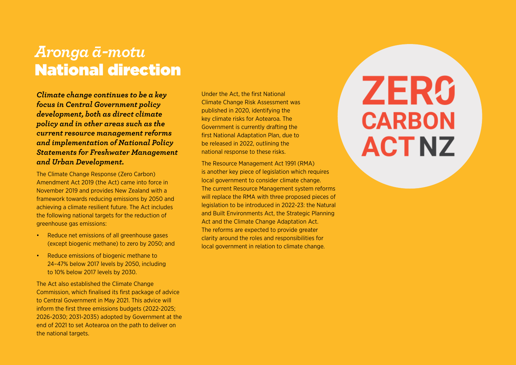### *Aronga ā-motu* National direction

*Climate change continues to be a key focus in Central Government policy development, both as direct climate policy and in other areas such as the current resource management reforms and implementation of National Policy Statements for Freshwater Management and Urban Development.*

The Climate Change Response (Zero Carbon) Amendment Act 2019 (the Act) came into force in November 2019 and provides New Zealand with a framework towards reducing emissions by 2050 and achieving a climate resilient future. The Act includes the following national targets for the reduction of greenhouse gas emissions:

- Reduce net emissions of all greenhouse gases (except biogenic methane) to zero by 2050; and
- Reduce emissions of biogenic methane to 24–47% below 2017 levels by 2050, including to 10% below 2017 levels by 2030.

The Act also established the Climate Change Commission, which finalised its first package of advice to Central Government in May 2021. This advice will inform the first three emissions budgets (2022-2025; 2026-2030; 2031-2035) adopted by Government at the end of 2021 to set Aotearoa on the path to deliver on the national targets.

Under the Act, the first National Climate Change Risk Assessment was published in 2020, identifying the key climate risks for Aotearoa. The Government is currently drafting the first National Adaptation Plan, due to be released in 2022, outlining the national response to these risks.

The Resource Management Act 1991 (RMA) is another key piece of legislation which requires local government to consider climate change. The current Resource Management system reforms will replace the RMA with three proposed pieces of legislation to be introduced in 2022-23: the Natural and Built Environments Act, the Strategic Planning Act and the Climate Change Adaptation Act. The reforms are expected to provide greater clarity around the roles and responsibilities for local government in relation to climate change.

# **ZERG CARBON ACT NZ**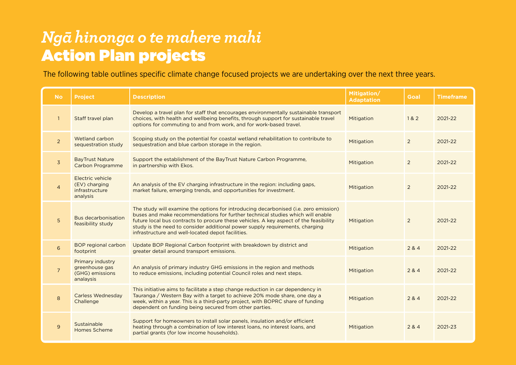# *Ngā hinonga o te mahere mahi* Action Plan projects

The following table outlines specific climate change focused projects we are undertaking over the next three years.

| <b>No</b>      | <b>Project</b>                                                     | <b>Description</b>                                                                                                                                                                                                                                                                                                                                                                                   | Mitigation/<br><b>Adaptation</b> | <b>Goal</b>    | <b>Timeframe</b> |
|----------------|--------------------------------------------------------------------|------------------------------------------------------------------------------------------------------------------------------------------------------------------------------------------------------------------------------------------------------------------------------------------------------------------------------------------------------------------------------------------------------|----------------------------------|----------------|------------------|
| $\mathbf{1}$   | Staff travel plan                                                  | Develop a travel plan for staff that encourages environmentally sustainable transport<br>choices, with health and wellbeing benefits, through support for sustainable travel<br>options for commuting to and from work, and for work-based travel.                                                                                                                                                   | Mitigation                       | 1&2            | 2021-22          |
| $\overline{2}$ | Wetland carbon<br>sequestration study                              | Scoping study on the potential for coastal wetland rehabilitation to contribute to<br>sequestration and blue carbon storage in the region.                                                                                                                                                                                                                                                           | Mitigation                       | 2              | 2021-22          |
| $\overline{3}$ | <b>BayTrust Nature</b><br><b>Carbon Programme</b>                  | Support the establishment of the BayTrust Nature Carbon Programme,<br>in partnership with Ekos.                                                                                                                                                                                                                                                                                                      | Mitigation                       | 2              | 2021-22          |
| $\overline{4}$ | Electric vehicle<br>(EV) charging<br>infrastructure<br>analysis    | An analysis of the EV charging infrastructure in the region: including gaps,<br>market failure, emerging trends, and opportunities for investment.                                                                                                                                                                                                                                                   | Mitigation                       | $\overline{2}$ | 2021-22          |
| 5 <sup>5</sup> | <b>Bus decarbonisation</b><br>feasibility study                    | The study will examine the options for introducing decarbonised (i.e. zero emission)<br>buses and make recommendations for further technical studies which will enable<br>future local bus contracts to procure these vehicles. A key aspect of the feasibility<br>study is the need to consider additional power supply requirements, charging<br>infrastructure and well-located depot facilities. | Mitigation                       | 2              | 2021-22          |
| 6              | <b>BOP</b> regional carbon<br>footprint                            | Update BOP Regional Carbon footprint with breakdown by district and<br>greater detail around transport emissions.                                                                                                                                                                                                                                                                                    | Mitigation                       | 284            | 2021-22          |
| $\overline{7}$ | Primary industry<br>greenhouse gas<br>(GHG) emissions<br>analaysis | An analysis of primary industry GHG emissions in the region and methods<br>to reduce emissions, including potential Council roles and next steps.                                                                                                                                                                                                                                                    | Mitigation                       | 2 & 4          | 2021-22          |
| 8              | <b>Carless Wednesday</b><br>Challenge                              | This initiative aims to facilitate a step change reduction in car dependency in<br>Tauranga / Western Bay with a target to achieve 20% mode share, one day a<br>week, within a year. This is a third-party project, with BOPRC share of funding<br>dependent on funding being secured from other parties.                                                                                            | Mitigation                       | 2 & 4          | 2021-22          |
| 9              | Sustainable<br>Homes Scheme                                        | Support for homeowners to install solar panels, insulation and/or efficient<br>heating through a combination of low interest loans, no interest loans, and<br>partial grants (for low income households).                                                                                                                                                                                            | Mitigation                       | 2 & 4          | 2021-23          |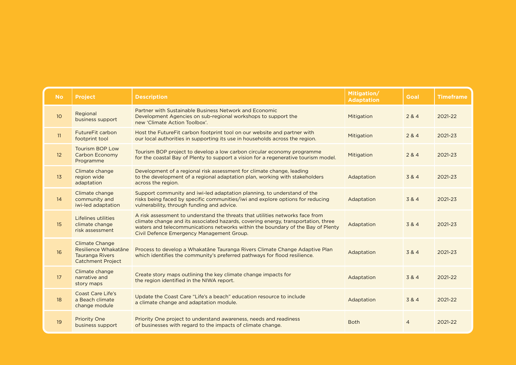| <b>No</b>       | <b>Project</b>                                                                                      | <b>Description</b>                                                                                                                                                                                                                                                                                 | Mitigation/<br><b>Adaptation</b> | <b>Goal</b>    | <b>Timeframe</b> |
|-----------------|-----------------------------------------------------------------------------------------------------|----------------------------------------------------------------------------------------------------------------------------------------------------------------------------------------------------------------------------------------------------------------------------------------------------|----------------------------------|----------------|------------------|
| 10 <sup>°</sup> | Regional<br>business support                                                                        | Partner with Sustainable Business Network and Economic<br>Development Agencies on sub-regional workshops to support the<br>new 'Climate Action Toolbox'.                                                                                                                                           | Mitigation                       | 284            | 2021-22          |
| 11              | FutureFit carbon<br>footprint tool                                                                  | Host the FutureFit carbon footprint tool on our website and partner with<br>our local authorities in supporting its use in households across the region.                                                                                                                                           | Mitigation                       | 284            | 2021-23          |
| 12              | <b>Tourism BOP Low</b><br>Carbon Economy<br>Programme                                               | Tourism BOP project to develop a low carbon circular economy programme<br>for the coastal Bay of Plenty to support a vision for a regenerative tourism model.                                                                                                                                      | Mitigation                       | 284            | 2021-23          |
| 13              | Climate change<br>region wide<br>adaptation                                                         | Development of a regional risk assessment for climate change, leading<br>to the development of a regional adaptation plan, working with stakeholders<br>across the region.                                                                                                                         | Adaptation                       | 3 & 4          | 2021-23          |
| 14              | Climate change<br>community and<br>iwi-led adaptation                                               | Support community and iwi-led adaptation planning, to understand of the<br>risks being faced by specific communities/iwi and explore options for reducing<br>vulnerability, through funding and advice.                                                                                            | Adaptation                       | 3 & 4          | 2021-23          |
| 15              | <b>Lifelines utilities</b><br>climate change<br>risk assessment                                     | A risk assessment to understand the threats that utilities networks face from<br>climate change and its associated hazards, covering energy, transportation, three<br>waters and telecommunications networks within the boundary of the Bay of Plenty<br>Civil Defence Emergency Management Group. | Adaptation                       | 3&4            | 2021-23          |
| 16              | <b>Climate Change</b><br>Resilience Whakatāne<br><b>Tauranga Rivers</b><br><b>Catchment Project</b> | Process to develop a Whakatāne Tauranga Rivers Climate Change Adaptive Plan<br>which identifies the community's preferred pathways for flood resilience.                                                                                                                                           | Adaptation                       | 3 & 4          | 2021-23          |
| 17              | Climate change<br>narrative and<br>story maps                                                       | Create story maps outlining the key climate change impacts for<br>the region identified in the NIWA report.                                                                                                                                                                                        | Adaptation                       | 3 & 4          | 2021-22          |
| 18              | <b>Coast Care Life's</b><br>a Beach climate<br>change module                                        | Update the Coast Care "Life's a beach" education resource to include<br>a climate change and adaptation module.                                                                                                                                                                                    | Adaptation                       | 3&4            | 2021-22          |
| 19              | <b>Priority One</b><br>business support                                                             | Priority One project to understand awareness, needs and readiness<br>of businesses with regard to the impacts of climate change.                                                                                                                                                                   | <b>Both</b>                      | $\overline{4}$ | 2021-22          |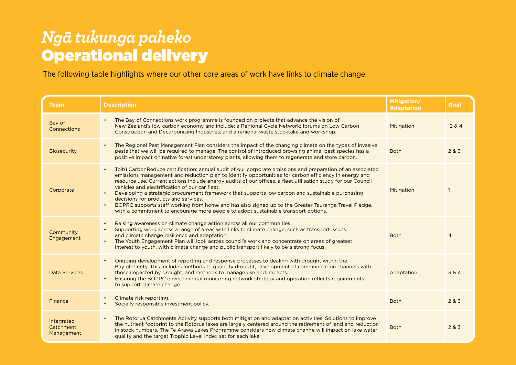# *Ngā tukunga paheko*  Operational delivery

The following table highlights where our other core areas of work have links to climate change.

| <b>Team</b>                           | <b>Description</b>                                                                                                                                                                                                                                                                                                                                                                                                                                                                                                                                                                                                                                                                                                               | Mitigation/<br><b>Adaptation</b> | Goal     |
|---------------------------------------|----------------------------------------------------------------------------------------------------------------------------------------------------------------------------------------------------------------------------------------------------------------------------------------------------------------------------------------------------------------------------------------------------------------------------------------------------------------------------------------------------------------------------------------------------------------------------------------------------------------------------------------------------------------------------------------------------------------------------------|----------------------------------|----------|
| Bay of<br>Connections                 | The Bay of Connections work programme is founded on projects that advance the vision of<br>New Zealand's low carbon economy and include: a Regional Cycle Network; forums on Low Carbon<br>Construction and Decarbonising Industries; and a regional waste stocktake and workshop.                                                                                                                                                                                                                                                                                                                                                                                                                                               | Mitigation                       | 284      |
| Biosecurity                           | The Regional Pest Management Plan considers the impact of the changing climate on the types of invasive<br>pests that we will be required to manage. The control of introduced browsing animal pest species has a<br>positive impact on native forest understorey plants, allowing them to regenerate and store carbon.                                                                                                                                                                                                                                                                                                                                                                                                          | <b>Both</b>                      | 2 & 3    |
| Corporate                             | Toitū CarbonReduce certification: annual audit of our corporate emissions and preparation of an associated<br>emissions management and reduction plan to identify opportunities for carbon efficiency in energy and<br>resource use. Current actions include energy audits of our offices, a fleet utilisation study for our Council<br>vehicles and electrification of our car fleet.<br>Developing a strategic procurement framework that supports low carbon and sustainable purchasing<br>decisions for products and services.<br>BOPRC supports staff working from home and has also signed up to the Greater Tauranga Travel Pledge,<br>with a commitment to encourage more people to adopt sustainable transport options. | Mitigation                       |          |
| Community<br>Engagement               | Raising awareness on climate change action across all our communities.<br>Supporting work across a range of areas with links to climate change, such as transport issues<br>and climate change resilience and adaptation.<br>The Youth Engagement Plan will look across council's work and concentrate on areas of greatest<br>interest to youth, with climate change and public transport likely to be a strong focus.                                                                                                                                                                                                                                                                                                          | <b>Both</b>                      | $\Delta$ |
| Data Services                         | Ongoing development of reporting and response processes to dealing with drought within the<br>Bay of Plenty. This includes methods to quantify drought, development of communication channels with<br>those impacted by drought, and methods to manage use and impacts.<br>Ensuring the BOPRC environmental monitoring network strategy and operation reflects requirements<br>to support climate change.                                                                                                                                                                                                                                                                                                                        | Adaptation                       | 3&4      |
| Finance                               | Climate risk reporting.<br>Socially responsible investment policy.                                                                                                                                                                                                                                                                                                                                                                                                                                                                                                                                                                                                                                                               | <b>Both</b>                      | 283      |
| Integrated<br>Catchment<br>Management | The Rotorua Catchments Activity supports both mitigation and adaptation activities. Solutions to improve<br>the nutrient footprint to the Rotorua lakes are largely centered around the retirement of land and reduction<br>in stock numbers. The Te Arawa Lakes Programme considers how climate change will impact on lake water<br>quality and the target Trophic Level Index set for each lake.                                                                                                                                                                                                                                                                                                                               | <b>Both</b>                      | 283      |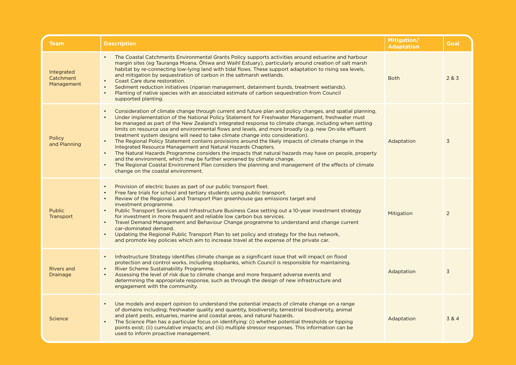| <b>Team</b>                           | <b>Description</b>                                                                                                                                                                                                                                                                                                                                                                                                                                                                                                                                                                                                                                                                                                                                                                                                                                                                                                                                                                                                                                    | Mitigation/<br><b>Adaptation</b> | Goal           |
|---------------------------------------|-------------------------------------------------------------------------------------------------------------------------------------------------------------------------------------------------------------------------------------------------------------------------------------------------------------------------------------------------------------------------------------------------------------------------------------------------------------------------------------------------------------------------------------------------------------------------------------------------------------------------------------------------------------------------------------------------------------------------------------------------------------------------------------------------------------------------------------------------------------------------------------------------------------------------------------------------------------------------------------------------------------------------------------------------------|----------------------------------|----------------|
| Integrated<br>Catchment<br>Management | The Coastal Catchments Environmental Grants Policy supports activities around estuarine and harbour<br>margin sites (eg Tauranga Moana, Ōhiwa and Waihī Estuary), particularly around creation of salt marsh<br>habitat by re-connecting low-lying land with tidal flows. These support adaptation to rising sea levels,<br>and mitigation by sequestration of carbon in the saltmarsh wetlands.<br>Coast Care dune restoration.<br>Sediment reduction initiatives (riparian management, detainment bunds, treatment wetlands).<br>$\bullet$<br>Planting of native species with an associated estimate of carbon sequestration from Council<br>supported planting.                                                                                                                                                                                                                                                                                                                                                                                    | <b>Both</b>                      | 283            |
| Policy<br>and Planning                | Consideration of climate change through current and future plan and policy changes, and spatial planning.<br>Under implementation of the National Policy Statement for Freshwater Management, freshwater must<br>be managed as part of the New Zealand's integrated response to climate change, including when setting<br>limits on resource use and environmental flows and levels, and more broadly (e.g. new On-site effluent<br>treatment system designs will need to take climate change into consideration).<br>The Regional Policy Statement contains provisions around the likely impacts of climate change in the<br>Integrated Resource Management and Natural Hazards Chapters.<br>The Natural Hazards Programme considers the impacts that natural hazards may have on people, property<br>$\bullet$<br>and the environment, which may be further worsened by climate change.<br>The Regional Coastal Environment Plan considers the planning and management of the effects of climate<br>$\bullet$<br>change on the coastal environment. | Adaptation                       | $\overline{3}$ |
| Public<br>Transport                   | Provision of electric buses as part of our public transport fleet.<br>Free fare trials for school and tertiary students using public transport.<br>$\bullet$<br>Review of the Regional Land Transport Plan greenhouse gas emissions target and<br>$\bullet$<br>investment programme.<br>Public Transport Services and Infrastructure Business Case setting out a 10-year investment strategy<br>$\bullet$<br>for investment in more frequent and reliable low carbon bus services.<br>Travel Demand Management and Behaviour Change programme to understand and change current<br>$\bullet$<br>car-dominated demand.<br>Updating the Regional Public Transport Plan to set policy and strategy for the bus network,<br>$\bullet$<br>and promote key policies which aim to increase travel at the expense of the private car.                                                                                                                                                                                                                          | Mitigation                       | 2              |
| <b>Rivers and</b><br><b>Drainage</b>  | Infrastructure Strategy identifies climate change as a significant issue that will impact on flood<br>protection and control works, including stopbanks, which Council is responsible for maintaining.<br>River Scheme Sustainability Programme.<br>Assessing the level of risk due to climate change and more frequent adverse events and<br>determining the appropriate response, such as through the design of new infrastructure and<br>engagement with the community.                                                                                                                                                                                                                                                                                                                                                                                                                                                                                                                                                                            | Adaptation                       | $\overline{3}$ |
| Science                               | Use models and expert opinion to understand the potential impacts of climate change on a range<br>of domains including; freshwater quality and quantity, biodiversity, terrestrial biodiversity, animal<br>and plant pests, estuaries, marine and coastal areas, and natural hazards.<br>The Science Plan has a particular focus on identifying: (i) whether potential thresholds or tipping<br>$\bullet$<br>points exist; (ii) cumulative impacts; and (iii) multiple stressor responses. This information can be<br>used to inform proactive management.                                                                                                                                                                                                                                                                                                                                                                                                                                                                                            | Adaptation                       | 3 & 4          |